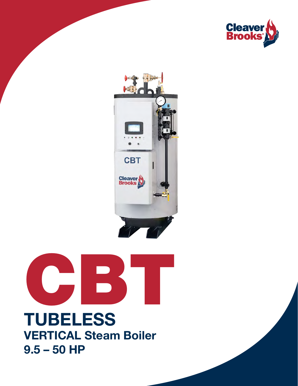





## TUBELESS VERTICAL Steam Boiler 9.5 – 50 HP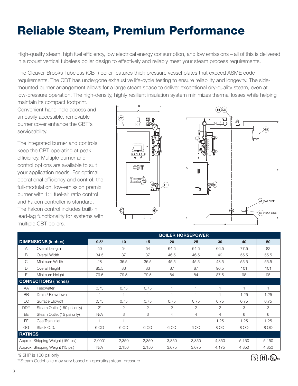## Reliable Steam, Premium Performance

High-quality steam, high fuel efficiency, low electrical energy consumption, and low emissions – all of this is delivered in a robust vertical tubeless boiler design to effectively and reliably meet your steam process requirements.

The Cleaver-Brooks Tubeless (CBT) boiler features thick pressure vessel plates that exceed ASME code requirements. The CBT has undergone exhaustive life-cycle testing to ensure reliability and longevity. The sidemounted burner arrangement allows for a large steam space to deliver exceptional dry-quality steam, even at low-pressure operation. The high-density, highly resilient insulation system minimizes thermal losses while helping maintain its compact footprint.

Convenient hand-hole access and an easily accessible, removable burner cover enhance the CBT's serviceability.

The integrated burner and controls keep the CBT operating at peak efficiency. Multiple burner and control options are available to suit your application needs. For optimal operational efficiency and control, the full-modulation, low-emission premix burner with 1:1 fuel-air ratio control and Falcon controller is standard. The Falcon control includes built-in lead-lag functionality for systems with multiple CBT boilers.





|                                   |                             | <b>BOILER HORSEPOWER</b> |       |                |                |       |                |       |                |
|-----------------------------------|-----------------------------|--------------------------|-------|----------------|----------------|-------|----------------|-------|----------------|
| <b>DIMENSIONS (inches)</b>        |                             | $9.5*$                   | 10    | 15             | 20             | 25    | 30             | 40    | 50             |
| A                                 | Overall Length              | 50                       | 54    | 54             | 64.5           | 64.5  | 66.5           | 77.5  | 82             |
| B                                 | Overall Width               | 34.5                     | 37    | 37             | 46.5           | 46.5  | 49             | 55.5  | 55.5           |
| C                                 | Minimum Width               | 28                       | 35.5  | 35.5           | 45.5           | 45.5  | 48.5           | 55.5  | 55.5           |
| $\mathsf{D}$                      | Overall Height              | 85.5                     | 83    | 83             | 87             | 87    | 90.5           | 101   | 101            |
| E                                 | Minimum Height              | 79.5                     | 79.5  | 79.5           | 84             | 84    | 87.5           | 98    | 98             |
| <b>CONNECTIONS (inches)</b>       |                             |                          |       |                |                |       |                |       |                |
| AA                                | Feedwater                   | 0.75                     | 0.75  | 0.75           | 1              | 1     |                |       | $\overline{1}$ |
| <b>BB</b>                         | Drain / Blowdown            | 1                        |       |                | $\overline{1}$ | H     |                | 1.25  | 1.25           |
| <b>CC</b>                         | Surface Blowoff             | 0.75                     | 0.75  | 0.75           | 0.75           | 0.75  | 0.75           | 0.75  | 0.75           |
| $DD**$                            | Steam Outlet (150 psi only) | $2^*$                    | 2     | $\mathfrak{D}$ | $\overline{2}$ | 2     | 2              | 3     | 3              |
| <b>EE</b>                         | Steam Outlet (15 psi only)  | N/A                      | 3     | 3              | 4              | 4     | $\overline{4}$ | 6     | 6              |
| <b>FF</b>                         | Gas Train Inlet             |                          | 1     |                | $\mathbf{1}$   | H     | 1.25           | 1.25  | 1.25           |
| GG                                | Stack O.D.                  | 6 OD                     | 6 OD  | 6 OD           | 6 OD           | 6 OD  | 8 OD           | 8 OD  | 8 OD           |
| <b>RATINGS</b>                    |                             |                          |       |                |                |       |                |       |                |
| Approx. Shipping Weight (150 psi) |                             | $2,000*$                 | 2,350 | 2,350          | 3,850          | 3,850 | 4,350          | 5,150 | 5,150          |
| Approx. Shipping Weight (15 psi)  |                             | N/A                      | 2,150 | 2,150          | 3,675          | 3,675 | 4,175          | 4,850 | 4,850          |

\*9.5HP is 100 psi only

\*\*Steam Outlet size may vary based on operating steam pressure.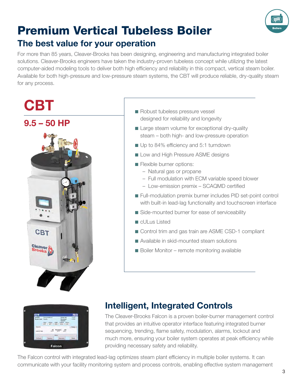

### Premium Vertical Tubeless Boiler The best value for your operation

For more than 85 years, Cleaver-Brooks has been designing, engineering and manufacturing integrated boiler solutions. Cleaver-Brooks engineers have taken the industry-proven tubeless concept while utilizing the latest computer-aided modeling tools to deliver both high efficiency and reliability in this compact, vertical steam boiler. Available for both high-pressure and low-pressure steam systems, the CBT will produce reliable, dry-quality steam for any process.

# **CBT**



- Robust tubeless pressure vessel designed for reliability and longevity
- Large steam volume for exceptional dry-quality steam – both high- and low-pressure operation
- Up to 84% efficiency and 5:1 turndown
- Low and High Pressure ASME designs
- Flexible burner options:
	- Natural gas or propane
	- Full modulation with ECM variable speed blower
	- Low-emission premix SCAQMD certified
- Full-modulation premix burner includes PID set-point control with built-in lead-lag functionality and touchscreen interface
- Side-mounted burner for ease of serviceability
- cULus Listed
- Control trim and gas train are ASME CSD-1 compliant
- Available in skid-mounted steam solutions
- Boiler Monitor remote monitoring available



#### Intelligent, Integrated Controls

The Cleaver-Brooks Falcon is a proven boiler-burner management control that provides an intuitive operator interface featuring integrated burner sequencing, trending, flame safety, modulation, alarms, lockout and much more, ensuring your boiler system operates at peak efficiency while providing necessary safety and reliability.

The Falcon control with integrated lead-lag optimizes steam plant efficiency in multiple boiler systems. It can communicate with your facility monitoring system and process controls, enabling effective system management